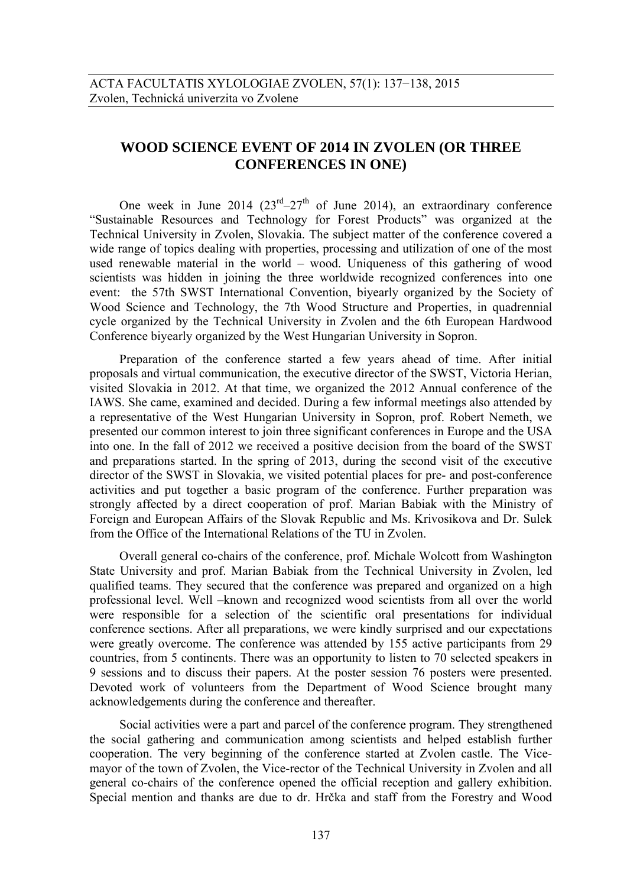## **WOOD SCIENCE EVENT OF 2014 IN ZVOLEN (OR THREE CONFERENCES IN ONE)**

One week in June 2014  $(23^{rd}-27^{th})$  of June 2014), an extraordinary conference "Sustainable Resources and Technology for Forest Products" was organized at the Technical University in Zvolen, Slovakia. The subject matter of the conference covered a wide range of topics dealing with properties, processing and utilization of one of the most used renewable material in the world – wood. Uniqueness of this gathering of wood scientists was hidden in joining the three worldwide recognized conferences into one event: the 57th SWST International Convention, biyearly organized by the Society of Wood Science and Technology, the 7th Wood Structure and Properties, in quadrennial cycle organized by the Technical University in Zvolen and the 6th European Hardwood Conference biyearly organized by the West Hungarian University in Sopron.

Preparation of the conference started a few years ahead of time. After initial proposals and virtual communication, the executive director of the SWST, Victoria Herian, visited Slovakia in 2012. At that time, we organized the 2012 Annual conference of the IAWS. She came, examined and decided. During a few informal meetings also attended by a representative of the West Hungarian University in Sopron, prof. Robert Nemeth, we presented our common interest to join three significant conferences in Europe and the USA into one. In the fall of 2012 we received a positive decision from the board of the SWST and preparations started. In the spring of 2013, during the second visit of the executive director of the SWST in Slovakia, we visited potential places for pre- and post-conference activities and put together a basic program of the conference. Further preparation was strongly affected by a direct cooperation of prof. Marian Babiak with the Ministry of Foreign and European Affairs of the Slovak Republic and Ms. Krivosikova and Dr. Sulek from the Office of the International Relations of the TU in Zvolen.

Overall general co-chairs of the conference, prof. Michale Wolcott from Washington State University and prof. Marian Babiak from the Technical University in Zvolen, led qualified teams. They secured that the conference was prepared and organized on a high professional level. Well –known and recognized wood scientists from all over the world were responsible for a selection of the scientific oral presentations for individual conference sections. After all preparations, we were kindly surprised and our expectations were greatly overcome. The conference was attended by 155 active participants from 29 countries, from 5 continents. There was an opportunity to listen to 70 selected speakers in 9 sessions and to discuss their papers. At the poster session 76 posters were presented. Devoted work of volunteers from the Department of Wood Science brought many acknowledgements during the conference and thereafter.

Social activities were a part and parcel of the conference program. They strengthened the social gathering and communication among scientists and helped establish further cooperation. The very beginning of the conference started at Zvolen castle. The Vicemayor of the town of Zvolen, the Vice-rector of the Technical University in Zvolen and all general co-chairs of the conference opened the official reception and gallery exhibition. Special mention and thanks are due to dr. Hrčka and staff from the Forestry and Wood